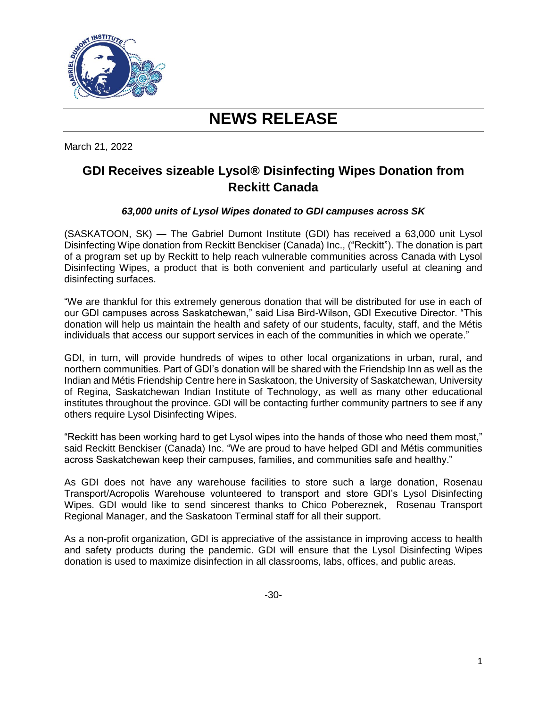

# **NEWS RELEASE**

March 21, 2022

# **GDI Receives sizeable Lysol® Disinfecting Wipes Donation from Reckitt Canada**

## *63,000 units of Lysol Wipes donated to GDI campuses across SK*

(SASKATOON, SK) — The Gabriel Dumont Institute (GDI) has received a 63,000 unit Lysol Disinfecting Wipe donation from Reckitt Benckiser (Canada) Inc., ("Reckitt"). The donation is part of a program set up by Reckitt to help reach vulnerable communities across Canada with Lysol Disinfecting Wipes, a product that is both convenient and particularly useful at cleaning and disinfecting surfaces.

"We are thankful for this extremely generous donation that will be distributed for use in each of our GDI campuses across Saskatchewan," said Lisa Bird-Wilson, GDI Executive Director. "This donation will help us maintain the health and safety of our students, faculty, staff, and the Métis individuals that access our support services in each of the communities in which we operate."

GDI, in turn, will provide hundreds of wipes to other local organizations in urban, rural, and northern communities. Part of GDI's donation will be shared with the Friendship Inn as well as the Indian and Métis Friendship Centre here in Saskatoon, the University of Saskatchewan, University of Regina, Saskatchewan Indian Institute of Technology, as well as many other educational institutes throughout the province. GDI will be contacting further community partners to see if any others require Lysol Disinfecting Wipes.

"Reckitt has been working hard to get Lysol wipes into the hands of those who need them most," said Reckitt Benckiser (Canada) Inc. "We are proud to have helped GDI and Métis communities across Saskatchewan keep their campuses, families, and communities safe and healthy."

As GDI does not have any warehouse facilities to store such a large donation, Rosenau Transport/Acropolis Warehouse volunteered to transport and store GDI's Lysol Disinfecting Wipes. GDI would like to send sincerest thanks to Chico Pobereznek, Rosenau Transport Regional Manager, and the Saskatoon Terminal staff for all their support.

As a non-profit organization, GDI is appreciative of the assistance in improving access to health and safety products during the pandemic. GDI will ensure that the Lysol Disinfecting Wipes donation is used to maximize disinfection in all classrooms, labs, offices, and public areas.